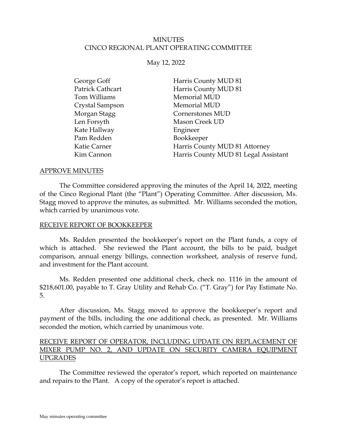### MINUTES CINCO REGIONAL PLANT OPERATING COMMITTEE

May 12, 2022

| George Goff      | Harris County MUD 81                 |
|------------------|--------------------------------------|
| Patrick Cathcart | Harris County MUD 81                 |
| Tom Williams     | Memorial MUD                         |
| Crystal Sampson  | Memorial MUD                         |
| Morgan Stagg     | Cornerstones MUD                     |
| Len Forsyth      | Mason Creek UD                       |
| Kate Hallway     | Engineer                             |
| Pam Redden       | Bookkeeper                           |
| Katie Carner     | Harris County MUD 81 Attorney        |
| Kim Cannon       | Harris County MUD 81 Legal Assistant |

#### APPROVE MINUTES

The Committee considered approving the minutes of the April 14, 2022, meeting of the Cinco Regional Plant (the "Plant") Operating Committee. After discussion, Ms. Stagg moved to approve the minutes, as submitted. Mr. Williams seconded the motion, which carried by unanimous vote.

### RECEIVE REPORT OF BOOKKEEPER

Ms. Redden presented the bookkeeper's report on the Plant funds, a copy of which is attached. She reviewed the Plant account, the bills to be paid, budget comparison, annual energy billings, connection worksheet, analysis of reserve fund, and investment for the Plant account.

Ms. Redden presented one additional check, check no. 1116 in the amount of \$218,601.00, payable to T. Gray Utility and Rehab Co. ("T. Gray") for Pay Estimate No. 5.

After discussion, Ms. Stagg moved to approve the bookkeeper's report and payment of the bills, including the one additional check, as presented. Mr. Williams seconded the motion, which carried by unanimous vote.

# RECEIVE REPORT OF OPERATOR, INCLUDING UPDATE ON REPLACEMENT OF MIXER PUMP NO. 2, AND UPDATE ON SECURITY CAMERA EQUIPMENT UPGRADES

The Committee reviewed the operator's report, which reported on maintenance and repairs to the Plant. A copy of the operator's report is attached.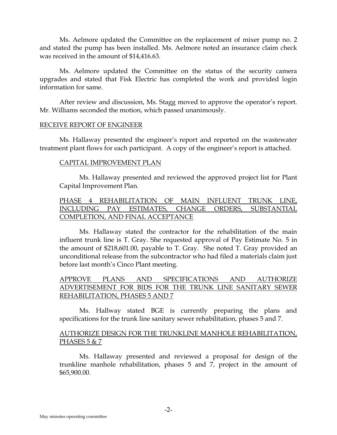Ms. Aelmore updated the Committee on the replacement of mixer pump no. 2 and stated the pump has been installed. Ms. Aelmore noted an insurance claim check was received in the amount of \$14,416.63.

Ms. Aelmore updated the Committee on the status of the security camera upgrades and stated that Fisk Electric has completed the work and provided login information for same.

After review and discussion, Ms. Stagg moved to approve the operator's report. Mr. Williams seconded the motion, which passed unanimously.

#### RECEIVE REPORT OF ENGINEER

Ms. Hallaway presented the engineer's report and reported on the wastewater treatment plant flows for each participant. A copy of the engineer's report is attached.

### CAPITAL IMPROVEMENT PLAN

Ms. Hallaway presented and reviewed the approved project list for Plant Capital Improvement Plan.

# PHASE 4 REHABILITATION OF MAIN INFLUENT TRUNK LINE, INCLUDING PAY ESTIMATES, CHANGE ORDERS, SUBSTANTIAL COMPLETION, AND FINAL ACCEPTANCE

Ms. Hallaway stated the contractor for the rehabilitation of the main influent trunk line is T. Gray. She requested approval of Pay Estimate No. 5 in the amount of \$218,601.00, payable to T. Gray. She noted T. Gray provided an unconditional release from the subcontractor who had filed a materials claim just before last month's Cinco Plant meeting.

# APPROVE PLANS AND SPECIFICATIONS AND AUTHORIZE ADVERTISEMENT FOR BIDS FOR THE TRUNK LINE SANITARY SEWER REHABILITATION, PHASES 5 AND 7

Ms. Hallway stated BGE is currently preparing the plans and specifications for the trunk line sanitary sewer rehabilitation, phases 5 and 7.

### AUTHORIZE DESIGN FOR THE TRUNKLINE MANHOLE REHABILITATION, PHASES 5 & 7

Ms. Hallaway presented and reviewed a proposal for design of the trunkline manhole rehabilitation, phases 5 and 7, project in the amount of \$65,900.00.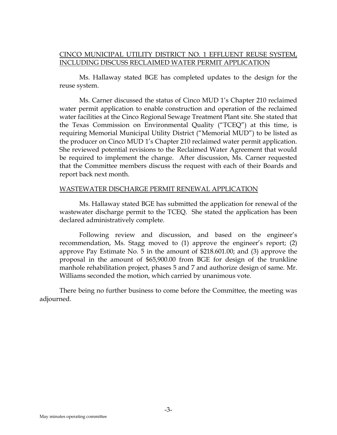### CINCO MUNICIPAL UTILITY DISTRICT NO. 1 EFFLUENT REUSE SYSTEM, INCLUDING DISCUSS RECLAIMED WATER PERMIT APPLICATION

Ms. Hallaway stated BGE has completed updates to the design for the reuse system.

Ms. Carner discussed the status of Cinco MUD 1's Chapter 210 reclaimed water permit application to enable construction and operation of the reclaimed water facilities at the Cinco Regional Sewage Treatment Plant site. She stated that the Texas Commission on Environmental Quality ("TCEQ") at this time, is requiring Memorial Municipal Utility District ("Memorial MUD") to be listed as the producer on Cinco MUD 1's Chapter 210 reclaimed water permit application. She reviewed potential revisions to the Reclaimed Water Agreement that would be required to implement the change. After discussion, Ms. Carner requested that the Committee members discuss the request with each of their Boards and report back next month.

#### WASTEWATER DISCHARGE PERMIT RENEWAL APPLICATION

Ms. Hallaway stated BGE has submitted the application for renewal of the wastewater discharge permit to the TCEQ. She stated the application has been declared administratively complete.

Following review and discussion, and based on the engineer's recommendation, Ms. Stagg moved to (1) approve the engineer's report; (2) approve Pay Estimate No. 5 in the amount of \$218.601.00; and (3) approve the proposal in the amount of \$65,900.00 from BGE for design of the trunkline manhole rehabilitation project, phases 5 and 7 and authorize design of same. Mr. Williams seconded the motion, which carried by unanimous vote.

There being no further business to come before the Committee, the meeting was adjourned.